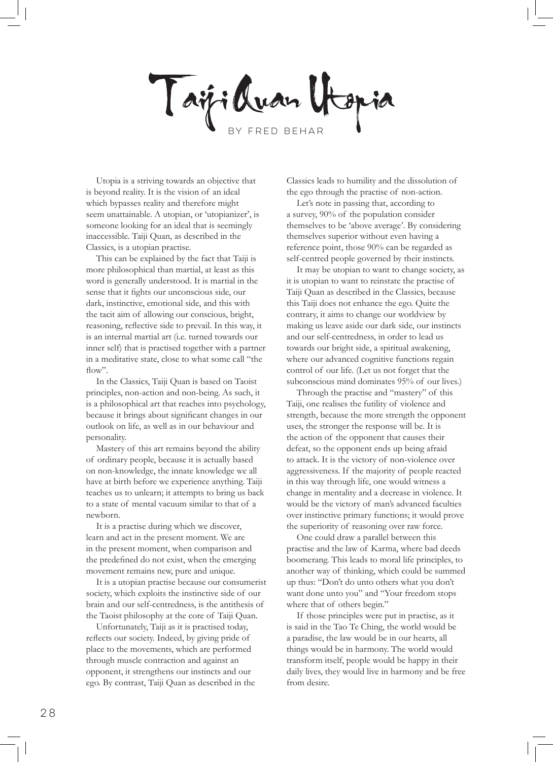Taiji Quan Utop by Fred Behar

Utopia is a striving towards an objective that is beyond reality. It is the vision of an ideal which bypasses reality and therefore might seem unattainable. A utopian, or 'utopianizer', is someone looking for an ideal that is seemingly inaccessible. Taiji Quan, as described in the Classics, is a utopian practise.

This can be explained by the fact that Taiji is more philosophical than martial, at least as this word is generally understood. It is martial in the sense that it fights our unconscious side, our dark, instinctive, emotional side, and this with the tacit aim of allowing our conscious, bright, reasoning, reflective side to prevail. In this way, it is an internal martial art (i.e. turned towards our inner self) that is practised together with a partner in a meditative state, close to what some call "the  $flow$ ".

In the Classics, Taiji Quan is based on Taoist principles, non-action and non-being. As such, it is a philosophical art that reaches into psychology, because it brings about significant changes in our outlook on life, as well as in our behaviour and personality.

Mastery of this art remains beyond the ability of ordinary people, because it is actually based on non-knowledge, the innate knowledge we all have at birth before we experience anything. Taiji teaches us to unlearn; it attempts to bring us back to a state of mental vacuum similar to that of a newborn.

It is a practise during which we discover, learn and act in the present moment. We are in the present moment, when comparison and the predefined do not exist, when the emerging movement remains new, pure and unique.

It is a utopian practise because our consumerist society, which exploits the instinctive side of our brain and our self-centredness, is the antithesis of the Taoist philosophy at the core of Taiji Quan.

Unfortunately, Taiji as it is practised today, reflects our society. Indeed, by giving pride of place to the movements, which are performed through muscle contraction and against an opponent, it strengthens our instincts and our ego. By contrast, Taiji Quan as described in the Classics leads to humility and the dissolution of the ego through the practise of non-action.

Let's note in passing that, according to a survey, 90% of the population consider themselves to be 'above average'. By considering themselves superior without even having a reference point, those 90% can be regarded as self-centred people governed by their instincts.

It may be utopian to want to change society, as it is utopian to want to reinstate the practise of Taiji Quan as described in the Classics, because this Taiji does not enhance the ego. Quite the contrary, it aims to change our worldview by making us leave aside our dark side, our instincts and our self-centredness, in order to lead us towards our bright side, a spiritual awakening, where our advanced cognitive functions regain control of our life. (Let us not forget that the subconscious mind dominates 95% of our lives.)

Through the practise and "mastery" of this Taiji, one realises the futility of violence and strength, because the more strength the opponent uses, the stronger the response will be. It is the action of the opponent that causes their defeat, so the opponent ends up being afraid to attack. It is the victory of non-violence over aggressiveness. If the majority of people reacted in this way through life, one would witness a change in mentality and a decrease in violence. It would be the victory of man's advanced faculties over instinctive primary functions; it would prove the superiority of reasoning over raw force.

One could draw a parallel between this practise and the law of Karma, where bad deeds boomerang. This leads to moral life principles, to another way of thinking, which could be summed up thus: "Don't do unto others what you don't want done unto you" and "Your freedom stops where that of others begin."

If those principles were put in practise, as it is said in the Tao Te Ching, the world would be a paradise, the law would be in our hearts, all things would be in harmony. The world would transform itself, people would be happy in their daily lives, they would live in harmony and be free from desire.